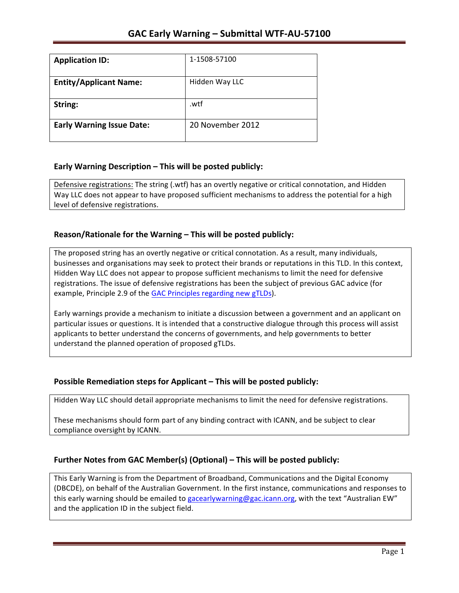| <b>Application ID:</b>           | 1-1508-57100     |
|----------------------------------|------------------|
| <b>Entity/Applicant Name:</b>    | Hidden Way LLC   |
| String:                          | .wtf             |
| <b>Early Warning Issue Date:</b> | 20 November 2012 |

### **Early Warning Description – This will be posted publicly:**

Defensive registrations: The string (.wtf) has an overtly negative or critical connotation, and Hidden Way LLC does not appear to have proposed sufficient mechanisms to address the potential for a high level of defensive registrations.

### **Reason/Rationale for the Warning – This will be posted publicly:**

The proposed string has an overtly negative or critical connotation. As a result, many individuals, businesses and organisations may seek to protect their brands or reputations in this TLD. In this context, Hidden Way LLC does not appear to propose sufficient mechanisms to limit the need for defensive registrations. The issue of defensive registrations has been the subject of previous GAC advice (for example, Principle 2.9 of the GAC Principles regarding new gTLDs).

Early warnings provide a mechanism to initiate a discussion between a government and an applicant on particular issues or questions. It is intended that a constructive dialogue through this process will assist applicants to better understand the concerns of governments, and help governments to better understand the planned operation of proposed gTLDs.

#### **Possible Remediation steps for Applicant – This will be posted publicly:**

Hidden Way LLC should detail appropriate mechanisms to limit the need for defensive registrations.

These mechanisms should form part of any binding contract with ICANN, and be subject to clear compliance oversight by ICANN.

## **Further Notes from GAC Member(s) (Optional) – This will be posted publicly:**

This Early Warning is from the Department of Broadband, Communications and the Digital Economy (DBCDE), on behalf of the Australian Government. In the first instance, communications and responses to this early warning should be emailed to gacearlywarning@gac.icann.org, with the text "Australian EW" and the application ID in the subject field.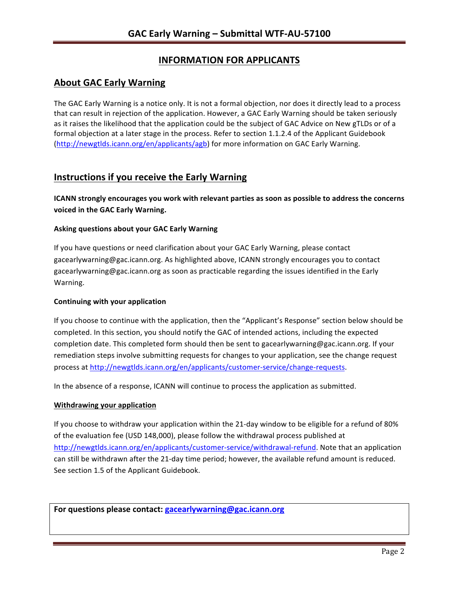# **INFORMATION FOR APPLICANTS**

## **About GAC Early Warning**

The GAC Early Warning is a notice only. It is not a formal objection, nor does it directly lead to a process that can result in rejection of the application. However, a GAC Early Warning should be taken seriously as it raises the likelihood that the application could be the subject of GAC Advice on New gTLDs or of a formal objection at a later stage in the process. Refer to section 1.1.2.4 of the Applicant Guidebook (http://newgtlds.icann.org/en/applicants/agb) for more information on GAC Early Warning.

## **Instructions if you receive the Early Warning**

**ICANN** strongly encourages you work with relevant parties as soon as possible to address the concerns **voiced in the GAC Early Warning.** 

#### **Asking questions about your GAC Early Warning**

If you have questions or need clarification about your GAC Early Warning, please contact gacearlywarning@gac.icann.org. As highlighted above, ICANN strongly encourages you to contact gacearlywarning@gac.icann.org as soon as practicable regarding the issues identified in the Early Warning. 

#### **Continuing with your application**

If you choose to continue with the application, then the "Applicant's Response" section below should be completed. In this section, you should notify the GAC of intended actions, including the expected completion date. This completed form should then be sent to gacearlywarning@gac.icann.org. If your remediation steps involve submitting requests for changes to your application, see the change request process at http://newgtlds.icann.org/en/applicants/customer-service/change-requests.

In the absence of a response, ICANN will continue to process the application as submitted.

#### **Withdrawing your application**

If you choose to withdraw your application within the 21-day window to be eligible for a refund of 80% of the evaluation fee (USD 148,000), please follow the withdrawal process published at http://newgtlds.icann.org/en/applicants/customer-service/withdrawal-refund. Note that an application can still be withdrawn after the 21-day time period; however, the available refund amount is reduced. See section 1.5 of the Applicant Guidebook.

For questions please contact: gacearlywarning@gac.icann.org